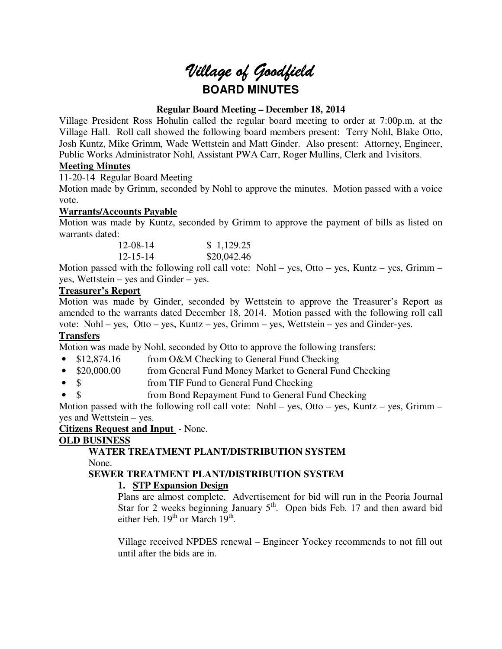# *Village of Goodfield* **BOARD MINUTES**

## **Regular Board Meeting – December 18, 2014**

Village President Ross Hohulin called the regular board meeting to order at 7:00p.m. at the Village Hall. Roll call showed the following board members present: Terry Nohl, Blake Otto, Josh Kuntz, Mike Grimm, Wade Wettstein and Matt Ginder. Also present: Attorney, Engineer, Public Works Administrator Nohl, Assistant PWA Carr, Roger Mullins, Clerk and 1visitors.

# **Meeting Minutes**

11-20-14 Regular Board Meeting

Motion made by Grimm, seconded by Nohl to approve the minutes. Motion passed with a voice vote.

## **Warrants/Accounts Payable**

Motion was made by Kuntz, seconded by Grimm to approve the payment of bills as listed on warrants dated:

| $12 - 08 - 14$ | \$1,129.25  |
|----------------|-------------|
| $12 - 15 - 14$ | \$20,042.46 |

Motion passed with the following roll call vote: Nohl – yes, Otto – yes, Kuntz – yes, Grimm – yes, Wettstein – yes and Ginder – yes.

## **Treasurer's Report**

Motion was made by Ginder, seconded by Wettstein to approve the Treasurer's Report as amended to the warrants dated December 18, 2014. Motion passed with the following roll call vote: Nohl – yes, Otto – yes, Kuntz – yes, Grimm – yes, Wettstein – yes and Ginder-yes.

# **Transfers**

Motion was made by Nohl, seconded by Otto to approve the following transfers:

- \$12,874.16 from O&M Checking to General Fund Checking
- \$20,000.00 from General Fund Money Market to General Fund Checking
- \$ from TIF Fund to General Fund Checking
- \$ from Bond Repayment Fund to General Fund Checking

Motion passed with the following roll call vote: Nohl – yes, Otto – yes, Kuntz – yes, Grimm – yes and Wettstein – yes.

**Citizens Request and Input** - None.

# **OLD BUSINESS**

**WATER TREATMENT PLANT/DISTRIBUTION SYSTEM**  None.

# **SEWER TREATMENT PLANT/DISTRIBUTION SYSTEM**

# **1. STP Expansion Design**

Plans are almost complete. Advertisement for bid will run in the Peoria Journal Star for 2 weeks beginning January  $5<sup>th</sup>$ . Open bids Feb. 17 and then award bid either Feb.  $19<sup>th</sup>$  or March  $19<sup>th</sup>$ .

Village received NPDES renewal – Engineer Yockey recommends to not fill out until after the bids are in.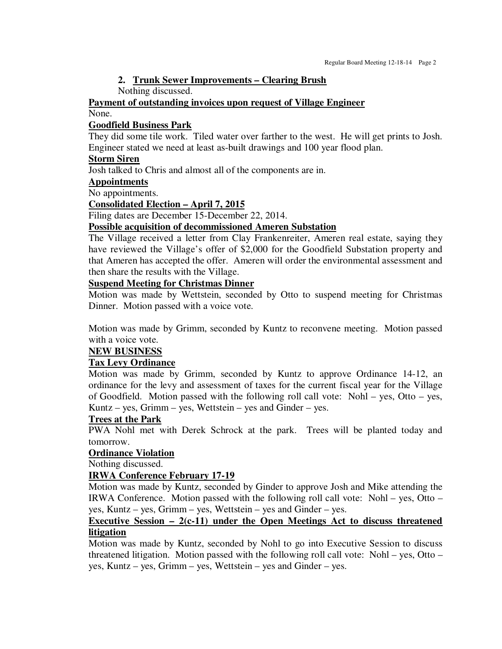### **2. Trunk Sewer Improvements – Clearing Brush**

Nothing discussed.

# **Payment of outstanding invoices upon request of Village Engineer**

None.

#### **Goodfield Business Park**

They did some tile work. Tiled water over farther to the west. He will get prints to Josh. Engineer stated we need at least as-built drawings and 100 year flood plan.

### **Storm Siren**

Josh talked to Chris and almost all of the components are in.

## **Appointments**

No appointments.

### **Consolidated Election – April 7, 2015**

Filing dates are December 15-December 22, 2014.

## **Possible acquisition of decommissioned Ameren Substation**

The Village received a letter from Clay Frankenreiter, Ameren real estate, saying they have reviewed the Village's offer of \$2,000 for the Goodfield Substation property and that Ameren has accepted the offer. Ameren will order the environmental assessment and then share the results with the Village.

#### **Suspend Meeting for Christmas Dinner**

Motion was made by Wettstein, seconded by Otto to suspend meeting for Christmas Dinner. Motion passed with a voice vote.

Motion was made by Grimm, seconded by Kuntz to reconvene meeting. Motion passed with a voice vote.

## **NEW BUSINESS**

## **Tax Levy Ordinance**

Motion was made by Grimm, seconded by Kuntz to approve Ordinance 14-12, an ordinance for the levy and assessment of taxes for the current fiscal year for the Village of Goodfield. Motion passed with the following roll call vote: Nohl – yes, Otto – yes, Kuntz – yes, Grimm – yes, Wettstein – yes and Ginder – yes.

#### **Trees at the Park**

PWA Nohl met with Derek Schrock at the park. Trees will be planted today and tomorrow.

#### **Ordinance Violation**

Nothing discussed.

## **IRWA Conference February 17-19**

Motion was made by Kuntz, seconded by Ginder to approve Josh and Mike attending the IRWA Conference. Motion passed with the following roll call vote: Nohl – yes, Otto – yes, Kuntz – yes, Grimm – yes, Wettstein – yes and Ginder – yes.

#### **Executive Session – 2(c-11) under the Open Meetings Act to discuss threatened litigation**

Motion was made by Kuntz, seconded by Nohl to go into Executive Session to discuss threatened litigation. Motion passed with the following roll call vote: Nohl – yes, Otto – yes, Kuntz – yes, Grimm – yes, Wettstein – yes and Ginder – yes.